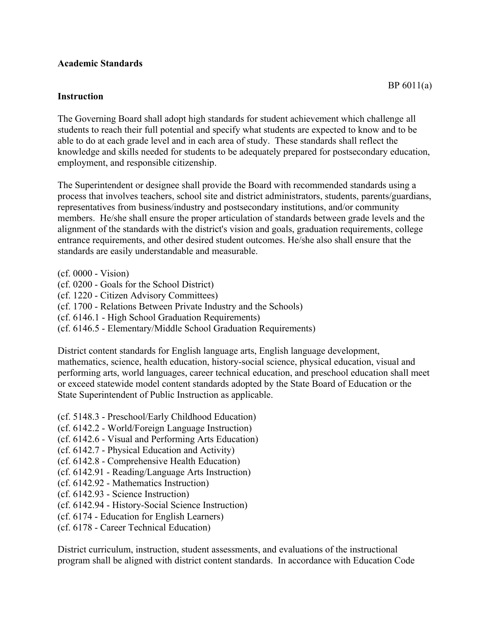## **Academic Standards**

## **Instruction**

The Governing Board shall adopt high standards for student achievement which challenge all students to reach their full potential and specify what students are expected to know and to be able to do at each grade level and in each area of study. These standards shall reflect the knowledge and skills needed for students to be adequately prepared for postsecondary education, employment, and responsible citizenship.

The Superintendent or designee shall provide the Board with recommended standards using a process that involves teachers, school site and district administrators, students, parents/guardians, representatives from business/industry and postsecondary institutions, and/or community members. He/she shall ensure the proper articulation of standards between grade levels and the alignment of the standards with the district's vision and goals, graduation requirements, college entrance requirements, and other desired student outcomes. He/she also shall ensure that the standards are easily understandable and measurable.

- (cf. 0000 Vision)
- (cf. 0200 Goals for the School District)
- (cf. 1220 Citizen Advisory Committees)
- (cf. 1700 Relations Between Private Industry and the Schools)
- (cf. 6146.1 High School Graduation Requirements)
- (cf. 6146.5 Elementary/Middle School Graduation Requirements)

District content standards for English language arts, English language development, mathematics, science, health education, history-social science, physical education, visual and performing arts, world languages, career technical education, and preschool education shall meet or exceed statewide model content standards adopted by the State Board of Education or the State Superintendent of Public Instruction as applicable.

- (cf. 5148.3 Preschool/Early Childhood Education)
- (cf. 6142.2 World/Foreign Language Instruction)
- (cf. 6142.6 Visual and Performing Arts Education)
- (cf. 6142.7 Physical Education and Activity)
- (cf. 6142.8 Comprehensive Health Education)
- (cf. 6142.91 Reading/Language Arts Instruction)
- (cf. 6142.92 Mathematics Instruction)
- (cf. 6142.93 Science Instruction)
- (cf. 6142.94 History-Social Science Instruction)
- (cf. 6174 Education for English Learners)
- (cf. 6178 Career Technical Education)

District curriculum, instruction, student assessments, and evaluations of the instructional program shall be aligned with district content standards. In accordance with Education Code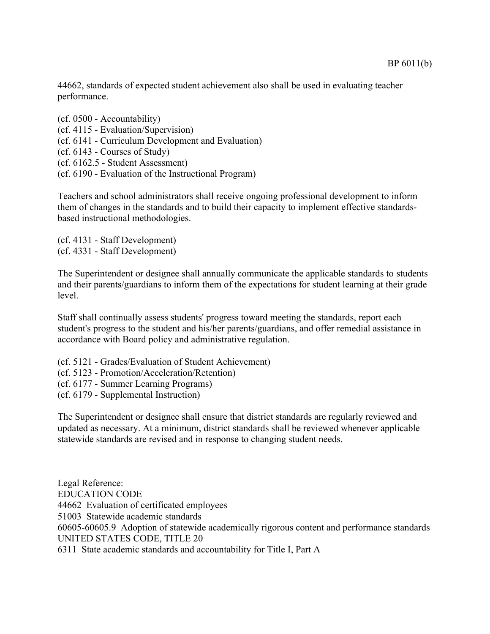44662, standards of expected student achievement also shall be used in evaluating teacher performance.

(cf. 0500 - Accountability) (cf. 4115 - Evaluation/Supervision) (cf. 6141 - Curriculum Development and Evaluation) (cf. 6143 - Courses of Study) (cf. 6162.5 - Student Assessment) (cf. 6190 - Evaluation of the Instructional Program)

Teachers and school administrators shall receive ongoing professional development to inform them of changes in the standards and to build their capacity to implement effective standardsbased instructional methodologies.

(cf. 4131 - Staff Development) (cf. 4331 - Staff Development)

The Superintendent or designee shall annually communicate the applicable standards to students and their parents/guardians to inform them of the expectations for student learning at their grade level.

Staff shall continually assess students' progress toward meeting the standards, report each student's progress to the student and his/her parents/guardians, and offer remedial assistance in accordance with Board policy and administrative regulation.

- (cf. 5121 Grades/Evaluation of Student Achievement)
- (cf. 5123 Promotion/Acceleration/Retention)
- (cf. 6177 Summer Learning Programs)
- (cf. 6179 Supplemental Instruction)

The Superintendent or designee shall ensure that district standards are regularly reviewed and updated as necessary. At a minimum, district standards shall be reviewed whenever applicable statewide standards are revised and in response to changing student needs.

Legal Reference: EDUCATION CODE 44662 Evaluation of certificated employees 51003 Statewide academic standards 60605-60605.9 Adoption of statewide academically rigorous content and performance standards UNITED STATES CODE, TITLE 20 6311 State academic standards and accountability for Title I, Part A